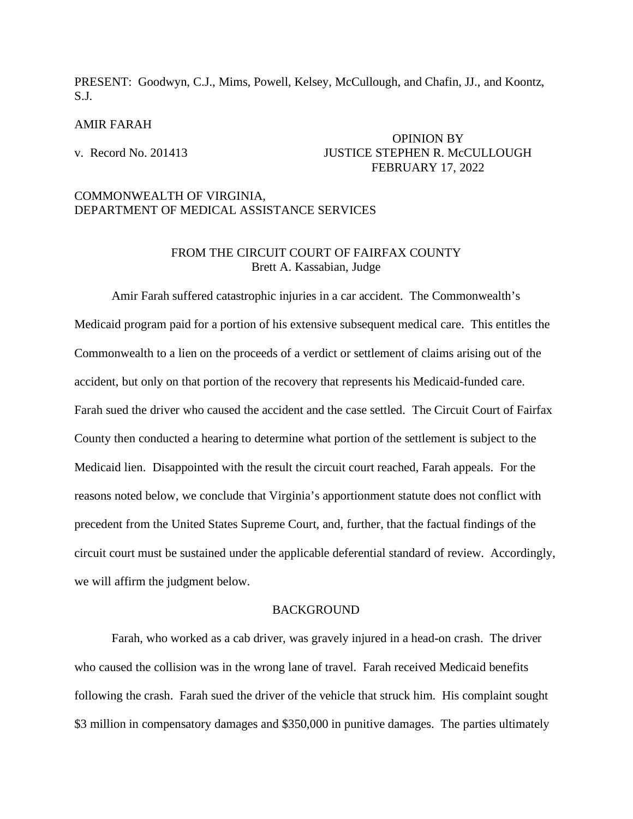PRESENT: Goodwyn, C.J., Mims, Powell, Kelsey, McCullough, and Chafin, JJ., and Koontz, S.J.

#### AMIR FARAH

## OPINION BY v. Record No. 201413 JUSTICE STEPHEN R. McCULLOUGH FEBRUARY 17, 2022

## COMMONWEALTH OF VIRGINIA, DEPARTMENT OF MEDICAL ASSISTANCE SERVICES

## FROM THE CIRCUIT COURT OF FAIRFAX COUNTY Brett A. Kassabian, Judge

Amir Farah suffered catastrophic injuries in a car accident. The Commonwealth's Medicaid program paid for a portion of his extensive subsequent medical care. This entitles the Commonwealth to a lien on the proceeds of a verdict or settlement of claims arising out of the accident, but only on that portion of the recovery that represents his Medicaid-funded care. Farah sued the driver who caused the accident and the case settled. The Circuit Court of Fairfax County then conducted a hearing to determine what portion of the settlement is subject to the Medicaid lien. Disappointed with the result the circuit court reached, Farah appeals. For the reasons noted below, we conclude that Virginia's apportionment statute does not conflict with precedent from the United States Supreme Court, and, further, that the factual findings of the circuit court must be sustained under the applicable deferential standard of review. Accordingly, we will affirm the judgment below.

#### **BACKGROUND**

Farah, who worked as a cab driver, was gravely injured in a head-on crash. The driver who caused the collision was in the wrong lane of travel. Farah received Medicaid benefits following the crash. Farah sued the driver of the vehicle that struck him. His complaint sought \$3 million in compensatory damages and \$350,000 in punitive damages. The parties ultimately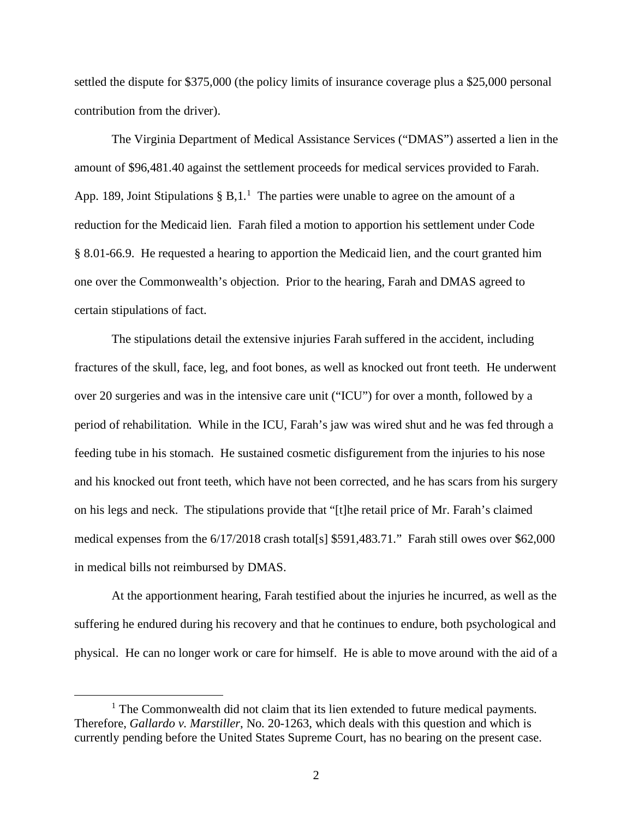settled the dispute for \$375,000 (the policy limits of insurance coverage plus a \$25,000 personal contribution from the driver).

The Virginia Department of Medical Assistance Services ("DMAS") asserted a lien in the amount of \$96,481.40 against the settlement proceeds for medical services provided to Farah. App. [1](#page-1-0)89, Joint Stipulations  $\S$  B,1.<sup>1</sup> The parties were unable to agree on the amount of a reduction for the Medicaid lien. Farah filed a motion to apportion his settlement under Code § 8.01-66.9. He requested a hearing to apportion the Medicaid lien, and the court granted him one over the Commonwealth's objection. Prior to the hearing, Farah and DMAS agreed to certain stipulations of fact.

The stipulations detail the extensive injuries Farah suffered in the accident, including fractures of the skull, face, leg, and foot bones, as well as knocked out front teeth. He underwent over 20 surgeries and was in the intensive care unit ("ICU") for over a month, followed by a period of rehabilitation. While in the ICU, Farah's jaw was wired shut and he was fed through a feeding tube in his stomach. He sustained cosmetic disfigurement from the injuries to his nose and his knocked out front teeth, which have not been corrected, and he has scars from his surgery on his legs and neck. The stipulations provide that "[t]he retail price of Mr. Farah's claimed medical expenses from the 6/17/2018 crash total[s] \$591,483.71." Farah still owes over \$62,000 in medical bills not reimbursed by DMAS.

At the apportionment hearing, Farah testified about the injuries he incurred, as well as the suffering he endured during his recovery and that he continues to endure, both psychological and physical. He can no longer work or care for himself. He is able to move around with the aid of a

<span id="page-1-0"></span><sup>&</sup>lt;sup>1</sup> The Commonwealth did not claim that its lien extended to future medical payments. Therefore, *Gallardo v. Marstiller*, No. 20-1263, which deals with this question and which is currently pending before the United States Supreme Court, has no bearing on the present case.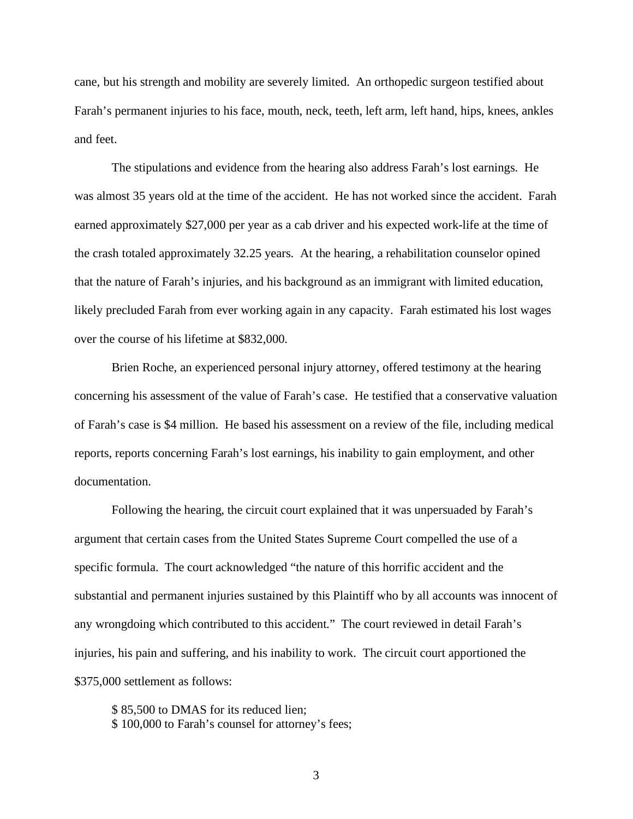cane, but his strength and mobility are severely limited. An orthopedic surgeon testified about Farah's permanent injuries to his face, mouth, neck, teeth, left arm, left hand, hips, knees, ankles and feet.

The stipulations and evidence from the hearing also address Farah's lost earnings. He was almost 35 years old at the time of the accident. He has not worked since the accident. Farah earned approximately \$27,000 per year as a cab driver and his expected work-life at the time of the crash totaled approximately 32.25 years. At the hearing, a rehabilitation counselor opined that the nature of Farah's injuries, and his background as an immigrant with limited education, likely precluded Farah from ever working again in any capacity. Farah estimated his lost wages over the course of his lifetime at \$832,000.

Brien Roche, an experienced personal injury attorney, offered testimony at the hearing concerning his assessment of the value of Farah's case. He testified that a conservative valuation of Farah's case is \$4 million. He based his assessment on a review of the file, including medical reports, reports concerning Farah's lost earnings, his inability to gain employment, and other documentation.

Following the hearing, the circuit court explained that it was unpersuaded by Farah's argument that certain cases from the United States Supreme Court compelled the use of a specific formula. The court acknowledged "the nature of this horrific accident and the substantial and permanent injuries sustained by this Plaintiff who by all accounts was innocent of any wrongdoing which contributed to this accident." The court reviewed in detail Farah's injuries, his pain and suffering, and his inability to work. The circuit court apportioned the \$375,000 settlement as follows:

\$ 85,500 to DMAS for its reduced lien; \$ 100,000 to Farah's counsel for attorney's fees;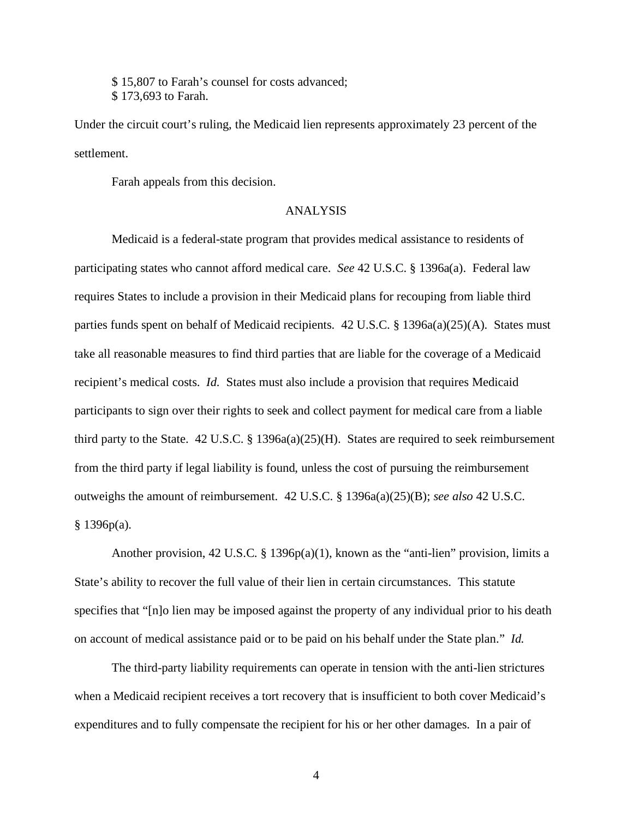\$ 15,807 to Farah's counsel for costs advanced; \$ 173,693 to Farah.

Under the circuit court's ruling, the Medicaid lien represents approximately 23 percent of the settlement.

Farah appeals from this decision.

#### ANALYSIS

Medicaid is a federal-state program that provides medical assistance to residents of participating states who cannot afford medical care. *See* 42 U.S.C. § 1396a(a). Federal law requires States to include a provision in their Medicaid plans for recouping from liable third parties funds spent on behalf of Medicaid recipients. 42 U.S.C. § 1396a(a)(25)(A). States must take all reasonable measures to find third parties that are liable for the coverage of a Medicaid recipient's medical costs. *Id.* States must also include a provision that requires Medicaid participants to sign over their rights to seek and collect payment for medical care from a liable third party to the State.  $42 \text{ U.S.C.}$  §  $1396a(a)(25)(H)$ . States are required to seek reimbursement from the third party if legal liability is found, unless the cost of pursuing the reimbursement outweighs the amount of reimbursement. 42 U.S.C. § 1396a(a)(25)(B); *see also* 42 U.S.C.  $§ 1396p(a).$ 

Another provision, 42 U.S.C. § 1396 $p(a)(1)$ , known as the "anti-lien" provision, limits a State's ability to recover the full value of their lien in certain circumstances. This statute specifies that "[n]o lien may be imposed against the property of any individual prior to his death on account of medical assistance paid or to be paid on his behalf under the State plan." *Id.*

The third-party liability requirements can operate in tension with the anti-lien strictures when a Medicaid recipient receives a tort recovery that is insufficient to both cover Medicaid's expenditures and to fully compensate the recipient for his or her other damages. In a pair of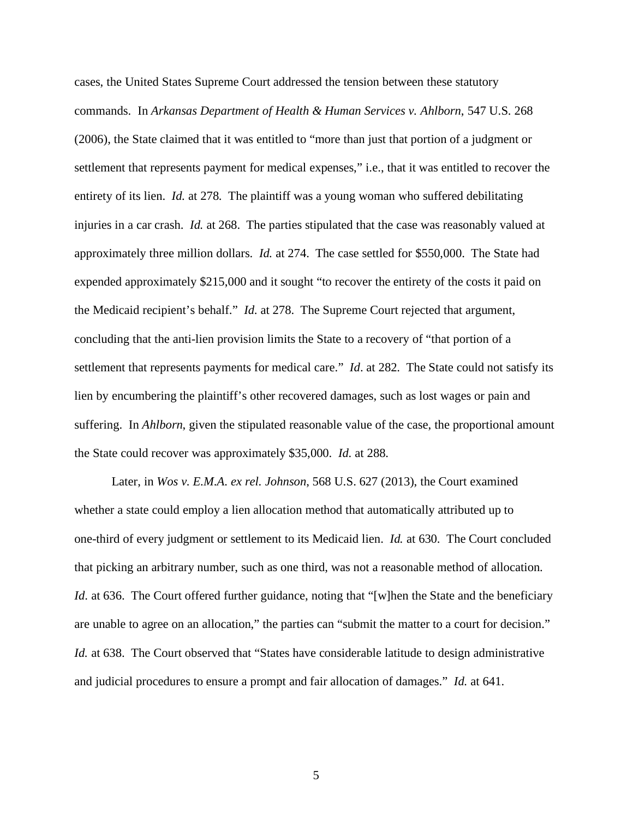cases, the United States Supreme Court addressed the tension between these statutory commands. In *Arkansas Department of Health & Human Services v. Ahlborn*, 547 U.S. 268 (2006), the State claimed that it was entitled to "more than just that portion of a judgment or settlement that represents payment for medical expenses," i.e., that it was entitled to recover the entirety of its lien. *Id.* at 278. The plaintiff was a young woman who suffered debilitating injuries in a car crash. *Id.* at 268. The parties stipulated that the case was reasonably valued at approximately three million dollars. *Id.* at 274. The case settled for \$550,000. The State had expended approximately \$215,000 and it sought "to recover the entirety of the costs it paid on the Medicaid recipient's behalf." *Id*. at 278. The Supreme Court rejected that argument, concluding that the anti-lien provision limits the State to a recovery of "that portion of a settlement that represents payments for medical care." *Id*. at 282. The State could not satisfy its lien by encumbering the plaintiff's other recovered damages, such as lost wages or pain and suffering. In *Ahlborn*, given the stipulated reasonable value of the case, the proportional amount the State could recover was approximately \$35,000. *Id.* at 288.

Later, in *Wos v. E.M.A. ex rel. Johnson*, 568 U.S. 627 (2013), the Court examined whether a state could employ a lien allocation method that automatically attributed up to one-third of every judgment or settlement to its Medicaid lien. *Id.* at 630. The Court concluded that picking an arbitrary number, such as one third, was not a reasonable method of allocation. *Id.* at 636. The Court offered further guidance, noting that "[w]hen the State and the beneficiary are unable to agree on an allocation," the parties can "submit the matter to a court for decision." *Id.* at 638. The Court observed that "States have considerable latitude to design administrative and judicial procedures to ensure a prompt and fair allocation of damages." *Id.* at 641.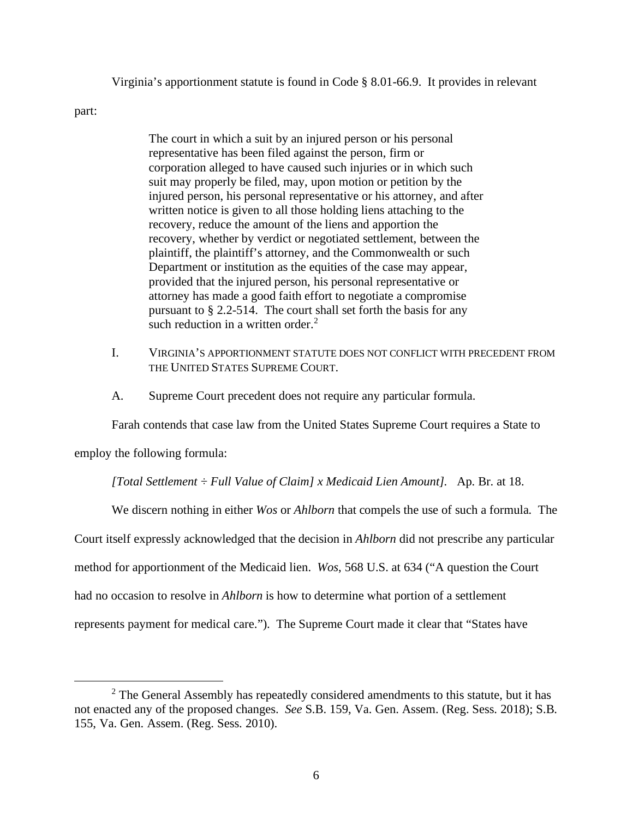Virginia's apportionment statute is found in Code § 8.01-66.9. It provides in relevant

part:

The court in which a suit by an injured person or his personal representative has been filed against the person, firm or corporation alleged to have caused such injuries or in which such suit may properly be filed, may, upon motion or petition by the injured person, his personal representative or his attorney, and after written notice is given to all those holding liens attaching to the recovery, reduce the amount of the liens and apportion the recovery, whether by verdict or negotiated settlement, between the plaintiff, the plaintiff's attorney, and the Commonwealth or such Department or institution as the equities of the case may appear, provided that the injured person, his personal representative or attorney has made a good faith effort to negotiate a compromise pursuant to § 2.2-514. The court shall set forth the basis for any such reduction in a written order. $<sup>2</sup>$  $<sup>2</sup>$  $<sup>2</sup>$ </sup>

- I. VIRGINIA'S APPORTIONMENT STATUTE DOES NOT CONFLICT WITH PRECEDENT FROM THE UNITED STATES SUPREME COURT.
- A. Supreme Court precedent does not require any particular formula.

Farah contends that case law from the United States Supreme Court requires a State to

employ the following formula:

*[Total Settlement ÷ Full Value of Claim] x Medicaid Lien Amount].* Ap. Br. at 18.

We discern nothing in either *Wos* or *Ahlborn* that compels the use of such a formula. The

Court itself expressly acknowledged that the decision in *Ahlborn* did not prescribe any particular

method for apportionment of the Medicaid lien. *Wos*, 568 U.S. at 634 ("A question the Court

had no occasion to resolve in *Ahlborn* is how to determine what portion of a settlement

represents payment for medical care."). The Supreme Court made it clear that "States have

<span id="page-5-0"></span> $2^2$  The General Assembly has repeatedly considered amendments to this statute, but it has not enacted any of the proposed changes. *See* S.B. 159, Va. Gen. Assem. (Reg. Sess. 2018); S.B. 155, Va. Gen. Assem. (Reg. Sess. 2010).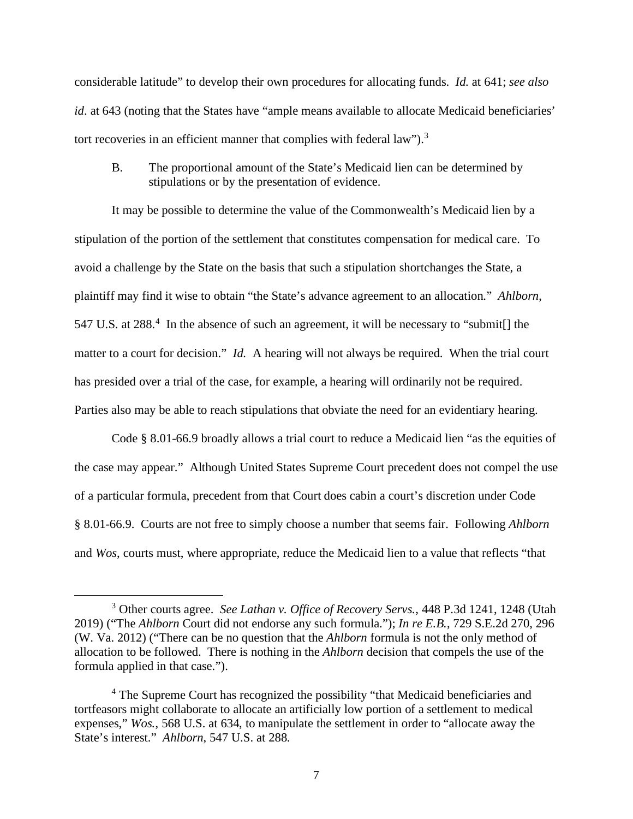considerable latitude" to develop their own procedures for allocating funds. *Id.* at 641; *see also id*. at 643 (noting that the States have "ample means available to allocate Medicaid beneficiaries' tort recoveries in an efficient manner that complies with federal law").<sup>[3](#page-6-0)</sup>

B. The proportional amount of the State's Medicaid lien can be determined by stipulations or by the presentation of evidence.

It may be possible to determine the value of the Commonwealth's Medicaid lien by a stipulation of the portion of the settlement that constitutes compensation for medical care. To avoid a challenge by the State on the basis that such a stipulation shortchanges the State, a plaintiff may find it wise to obtain "the State's advance agreement to an allocation." *Ahlborn*, 5[4](#page-6-1)7 U.S. at 288.<sup>4</sup> In the absence of such an agreement, it will be necessary to "submit[] the matter to a court for decision." *Id.* A hearing will not always be required. When the trial court has presided over a trial of the case, for example, a hearing will ordinarily not be required. Parties also may be able to reach stipulations that obviate the need for an evidentiary hearing.

Code § 8.01-66.9 broadly allows a trial court to reduce a Medicaid lien "as the equities of the case may appear." Although United States Supreme Court precedent does not compel the use of a particular formula, precedent from that Court does cabin a court's discretion under Code § 8.01-66.9. Courts are not free to simply choose a number that seems fair. Following *Ahlborn* and *Wos*, courts must, where appropriate, reduce the Medicaid lien to a value that reflects "that

<span id="page-6-0"></span><sup>3</sup> Other courts agree. *See Lathan v. Office of Recovery Servs.*, 448 P.3d 1241, 1248 (Utah 2019) ("The *Ahlborn* Court did not endorse any such formula."); *In re E.B.*, 729 S.E.2d 270, 296 (W. Va. 2012) ("There can be no question that the *Ahlborn* formula is not the only method of allocation to be followed. There is nothing in the *Ahlborn* decision that compels the use of the formula applied in that case.").

<span id="page-6-1"></span><sup>4</sup> The Supreme Court has recognized the possibility "that Medicaid beneficiaries and tortfeasors might collaborate to allocate an artificially low portion of a settlement to medical expenses," *Wos.*, 568 U.S. at 634, to manipulate the settlement in order to "allocate away the State's interest." *Ahlborn*, 547 U.S. at 288.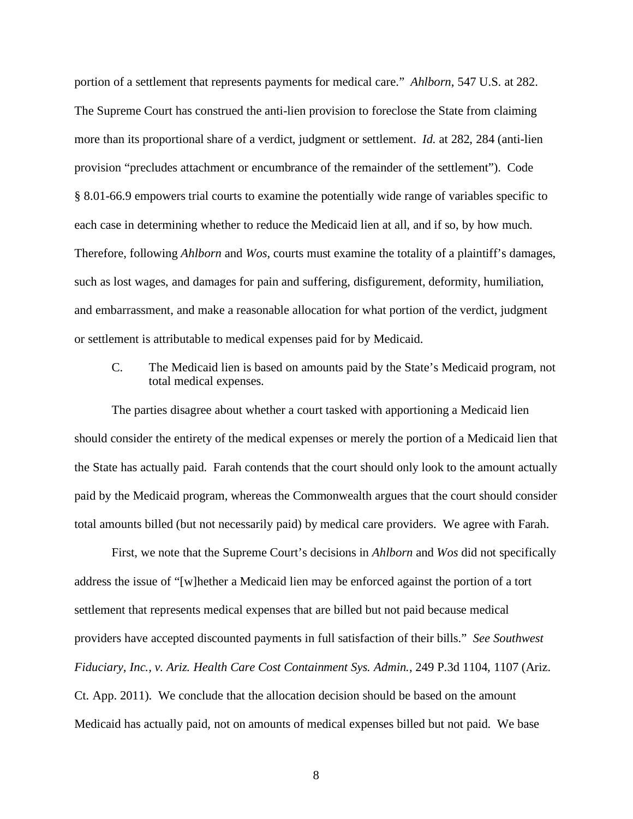portion of a settlement that represents payments for medical care." *Ahlborn*, 547 U.S. at 282. The Supreme Court has construed the anti-lien provision to foreclose the State from claiming more than its proportional share of a verdict, judgment or settlement. *Id.* at 282, 284 (anti-lien provision "precludes attachment or encumbrance of the remainder of the settlement"). Code § 8.01-66.9 empowers trial courts to examine the potentially wide range of variables specific to each case in determining whether to reduce the Medicaid lien at all, and if so, by how much. Therefore, following *Ahlborn* and *Wos*, courts must examine the totality of a plaintiff's damages, such as lost wages, and damages for pain and suffering, disfigurement, deformity, humiliation, and embarrassment, and make a reasonable allocation for what portion of the verdict, judgment or settlement is attributable to medical expenses paid for by Medicaid.

# C. The Medicaid lien is based on amounts paid by the State's Medicaid program, not total medical expenses.

The parties disagree about whether a court tasked with apportioning a Medicaid lien should consider the entirety of the medical expenses or merely the portion of a Medicaid lien that the State has actually paid. Farah contends that the court should only look to the amount actually paid by the Medicaid program, whereas the Commonwealth argues that the court should consider total amounts billed (but not necessarily paid) by medical care providers. We agree with Farah.

First, we note that the Supreme Court's decisions in *Ahlborn* and *Wos* did not specifically address the issue of "[w]hether a Medicaid lien may be enforced against the portion of a tort settlement that represents medical expenses that are billed but not paid because medical providers have accepted discounted payments in full satisfaction of their bills." *See Southwest Fiduciary, Inc., v. Ariz. Health Care Cost Containment Sys. Admin.*, 249 P.3d 1104, 1107 (Ariz. Ct. App. 2011). We conclude that the allocation decision should be based on the amount Medicaid has actually paid, not on amounts of medical expenses billed but not paid. We base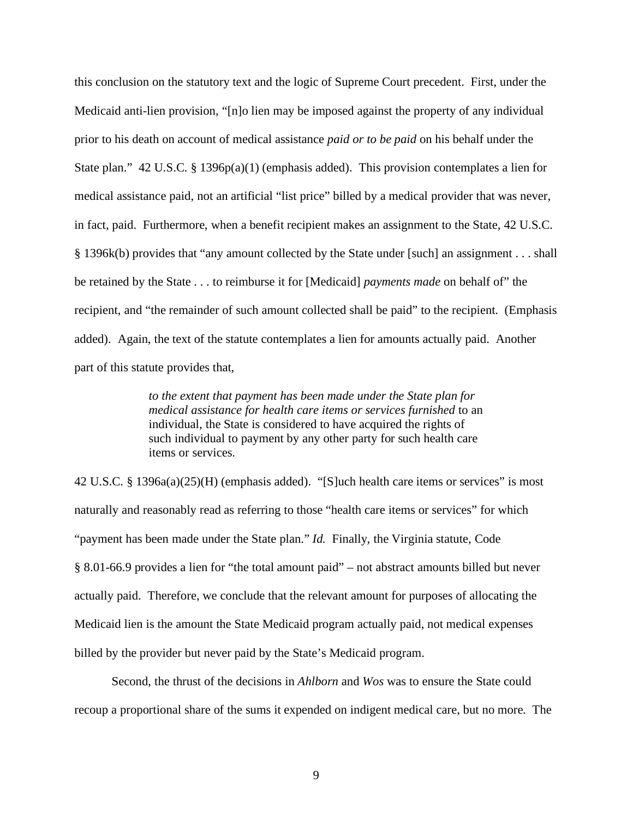this conclusion on the statutory text and the logic of Supreme Court precedent. First, under the Medicaid anti-lien provision, "[n]o lien may be imposed against the property of any individual prior to his death on account of medical assistance *paid or to be paid* on his behalf under the State plan." 42 U.S.C. § 1396p(a)(1) (emphasis added). This provision contemplates a lien for medical assistance paid, not an artificial "list price" billed by a medical provider that was never, in fact, paid. Furthermore, when a benefit recipient makes an assignment to the State, 42 U.S.C. § 1396k(b) provides that "any amount collected by the State under [such] an assignment . . . shall be retained by the State . . . to reimburse it for [Medicaid] *payments made* on behalf of" the recipient, and "the remainder of such amount collected shall be paid" to the recipient. (Emphasis added). Again, the text of the statute contemplates a lien for amounts actually paid. Another part of this statute provides that,

> *to the extent that payment has been made under the State plan for medical assistance for health care items or services furnished* to an individual, the State is considered to have acquired the rights of such individual to payment by any other party for such health care items or services.

42 U.S.C. § 1396a(a)(25)(H) (emphasis added). "[S]uch health care items or services" is most naturally and reasonably read as referring to those "health care items or services" for which "payment has been made under the State plan." *Id.* Finally, the Virginia statute, Code § 8.01-66.9 provides a lien for "the total amount paid" – not abstract amounts billed but never actually paid. Therefore, we conclude that the relevant amount for purposes of allocating the Medicaid lien is the amount the State Medicaid program actually paid, not medical expenses billed by the provider but never paid by the State's Medicaid program.

Second, the thrust of the decisions in *Ahlborn* and *Wos* was to ensure the State could recoup a proportional share of the sums it expended on indigent medical care, but no more. The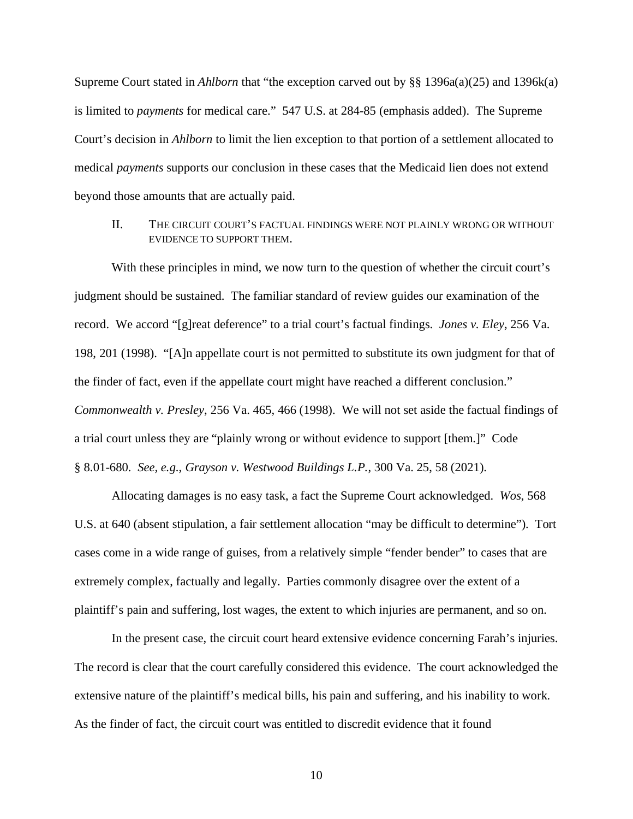Supreme Court stated in *Ahlborn* that "the exception carved out by §§ 1396a(a)(25) and 1396k(a) is limited to *payments* for medical care." 547 U.S. at 284-85 (emphasis added). The Supreme Court's decision in *Ahlborn* to limit the lien exception to that portion of a settlement allocated to medical *payments* supports our conclusion in these cases that the Medicaid lien does not extend beyond those amounts that are actually paid.

## II. THE CIRCUIT COURT'S FACTUAL FINDINGS WERE NOT PLAINLY WRONG OR WITHOUT EVIDENCE TO SUPPORT THEM.

With these principles in mind, we now turn to the question of whether the circuit court's judgment should be sustained. The familiar standard of review guides our examination of the record. We accord "[g]reat deference" to a trial court's factual findings. *Jones v. Eley*, 256 Va. 198, 201 (1998). "[A]n appellate court is not permitted to substitute its own judgment for that of the finder of fact, even if the appellate court might have reached a different conclusion." *Commonwealth v. Presley*, 256 Va. 465, 466 (1998). We will not set aside the factual findings of a trial court unless they are "plainly wrong or without evidence to support [them.]" Code § 8.01-680. *See, e.g.*, *Grayson v. Westwood Buildings L.P.*, 300 Va. 25, 58 (2021).

Allocating damages is no easy task, a fact the Supreme Court acknowledged. *Wos*, 568 U.S. at 640 (absent stipulation, a fair settlement allocation "may be difficult to determine"). Tort cases come in a wide range of guises, from a relatively simple "fender bender" to cases that are extremely complex, factually and legally. Parties commonly disagree over the extent of a plaintiff's pain and suffering, lost wages, the extent to which injuries are permanent, and so on.

In the present case, the circuit court heard extensive evidence concerning Farah's injuries. The record is clear that the court carefully considered this evidence. The court acknowledged the extensive nature of the plaintiff's medical bills, his pain and suffering, and his inability to work. As the finder of fact, the circuit court was entitled to discredit evidence that it found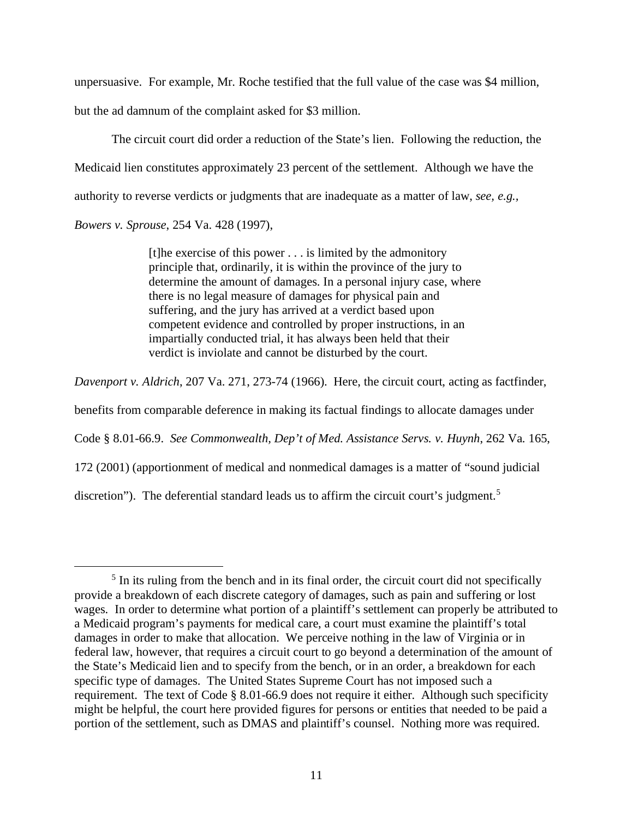unpersuasive. For example, Mr. Roche testified that the full value of the case was \$4 million,

but the ad damnum of the complaint asked for \$3 million.

The circuit court did order a reduction of the State's lien. Following the reduction, the Medicaid lien constitutes approximately 23 percent of the settlement. Although we have the authority to reverse verdicts or judgments that are inadequate as a matter of law, *see, e.g., Bowers v. Sprouse*, 254 Va. 428 (1997),

> [t]he exercise of this power . . . is limited by the admonitory principle that, ordinarily, it is within the province of the jury to determine the amount of damages. In a personal injury case, where there is no legal measure of damages for physical pain and suffering, and the jury has arrived at a verdict based upon competent evidence and controlled by proper instructions, in an impartially conducted trial, it has always been held that their verdict is inviolate and cannot be disturbed by the court.

*Davenport v. Aldrich*, 207 Va. 271, 273-74 (1966). Here, the circuit court, acting as factfinder,

benefits from comparable deference in making its factual findings to allocate damages under

Code § 8.01-66.9. *See Commonwealth, Dep't of Med. Assistance Servs. v. Huynh*, 262 Va. 165,

172 (2001) (apportionment of medical and nonmedical damages is a matter of "sound judicial

discretion"). The deferential standard leads us to affirm the circuit court's judgment.<sup>[5](#page-10-0)</sup>

<span id="page-10-0"></span><sup>&</sup>lt;sup>5</sup> In its ruling from the bench and in its final order, the circuit court did not specifically provide a breakdown of each discrete category of damages, such as pain and suffering or lost wages. In order to determine what portion of a plaintiff's settlement can properly be attributed to a Medicaid program's payments for medical care, a court must examine the plaintiff's total damages in order to make that allocation. We perceive nothing in the law of Virginia or in federal law, however, that requires a circuit court to go beyond a determination of the amount of the State's Medicaid lien and to specify from the bench, or in an order, a breakdown for each specific type of damages. The United States Supreme Court has not imposed such a requirement. The text of Code § 8.01-66.9 does not require it either. Although such specificity might be helpful, the court here provided figures for persons or entities that needed to be paid a portion of the settlement, such as DMAS and plaintiff's counsel. Nothing more was required.